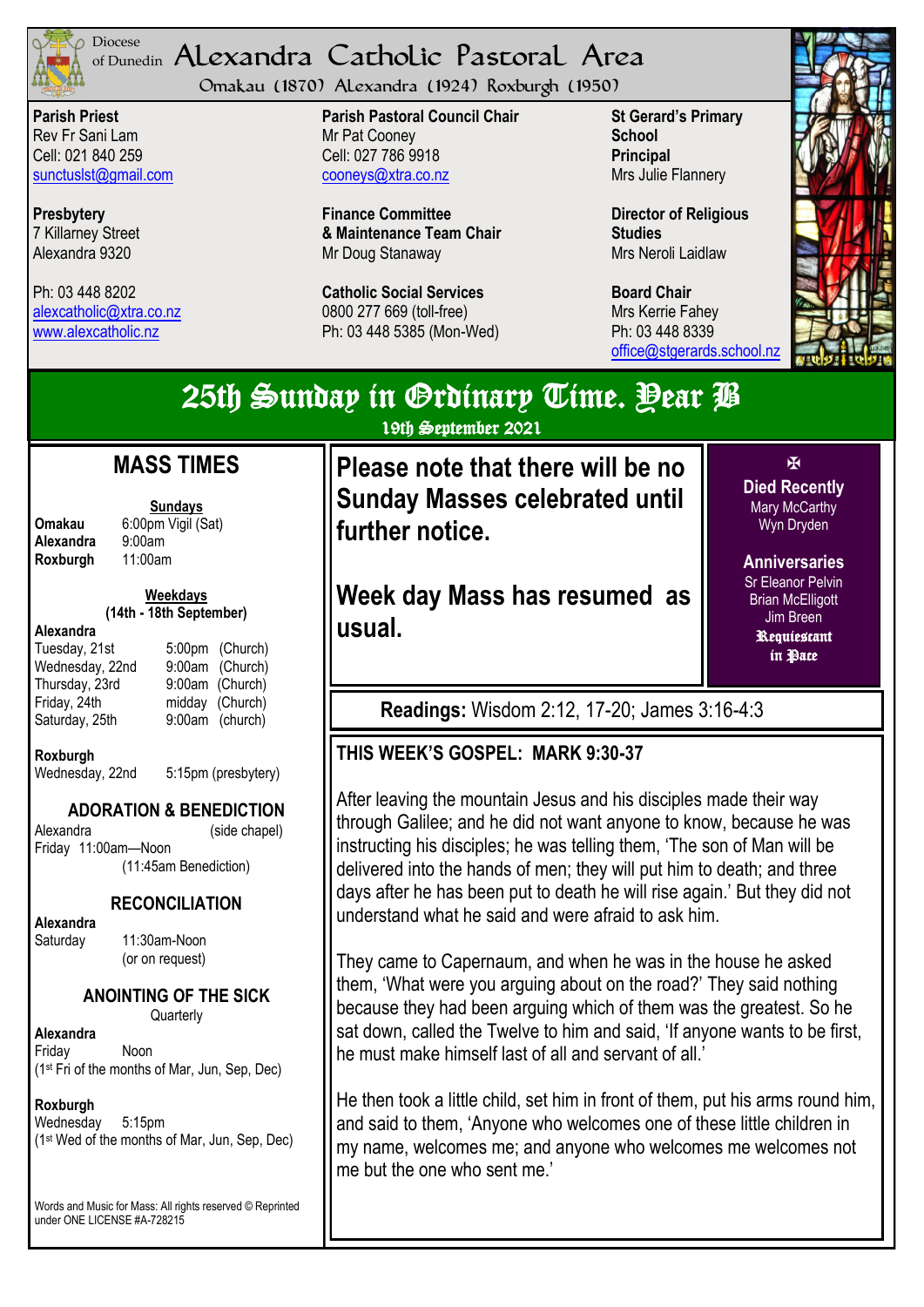

#### <sup>Diocese</sup> Alexandra Catholic Pastoral Area of Dunedin

Omakau (1870) Alexandra (1924) Roxburgh (1950)

**Parish Priest** Rev Fr Sani Lam Cell: 021 840 259 [sunctuslst@gmail.com](mailto:mailto:sunctuslst@gmail.com)

**Presbytery** 7 Killarney Street Alexandra 9320

Ph: 03 448 8202 [alexcatholic@xtra.co.nz](mailto:mailto:alexcatholic@xtra.co.nz) www.alexcatholic.nz

**Parish Pastoral Council Chair** Mr Pat Cooney Cell: 027 786 9918 cooneys@xtra.co.nz

**Finance Committee & Maintenance Team Chair** Mr Doug Stanaway

**Catholic Social Services**  0800 277 669 (toll-free) Ph: 03 448 5385 (Mon-Wed) **St Gerard's Primary School Principal** Mrs Julie Flannery

**Director of Religious Studies** Mrs Neroli Laidlaw

**Board Chair** Mrs Kerrie Fahey Ph: 03 448 8339 [office@stgerards.school.nz](mailto:mailto:office@stgerards.school.nz)



## $\overline{\mathbf{M}}$ 25th Sunday in Grdinary Time. Pear B 19th September 2021 **Please note that there will be no Sunday Masses celebrated until further notice. MASS TIMES**

**Week day Mass has resumed as usual.**

**Died Recently** Mary McCarthy Wyn Dryden

**Anniversaries** Sr Eleanor Pelvin Brian McElligott Jim Breen Requiescant in **Pace** 

**Readings:** Wisdom 2:12, 17-20; James 3:16-4:3

## **THIS WEEK'S GOSPEL: MARK 9:30-37**

After leaving the mountain Jesus and his disciples made their way through Galilee; and he did not want anyone to know, because he was instructing his disciples; he was telling them, 'The son of Man will be delivered into the hands of men; they will put him to death; and three days after he has been put to death he will rise again.' But they did not understand what he said and were afraid to ask him.

They came to Capernaum, and when he was in the house he asked them, 'What were you arguing about on the road?' They said nothing because they had been arguing which of them was the greatest. So he sat down, called the Twelve to him and said, 'If anyone wants to be first, he must make himself last of all and servant of all.'

He then took a little child, set him in front of them, put his arms round him, and said to them, 'Anyone who welcomes one of these little children in my name, welcomes me; and anyone who welcomes me welcomes not me but the one who sent me.'

**Roxburgh** 

**Sundays Omakau** 6:00pm Vigil (Sat)<br>**Alexandra** 9:00am **Alexandra** 9:00am<br>**Roxburgh** 11:00am

> **Weekdays (14th - 18th September)**

#### **Alexandra**

Tuesday, 21st 5:00pm (Church) Wednesday, 22nd 9:00am (Church) Thursday, 23rd 9:00am (Church) Friday, 24th midday (Church) Saturday, 25th 9:00am (church)

### **Roxburgh**

Wednesday, 22nd 5:15pm (presbytery)

## **ADORATION & BENEDICTION**

Alexandra (side chapel) Friday 11:00am—Noon (11:45am Benediction)

### **RECONCILIATION**

**Alexandra** 

Saturday 11:30am-Noon (or on request)

## **ANOINTING OF THE SICK**

**Quarterly** 

**Alexandra** Friday Noon (1st Fri of the months of Mar, Jun, Sep, Dec)

### **Roxburgh**

Wednesday 5:15pm (1st Wed of the months of Mar, Jun, Sep, Dec)

Words and Music for Mass: All rights reserved © Reprinted under ONE LICENSE #A-728215